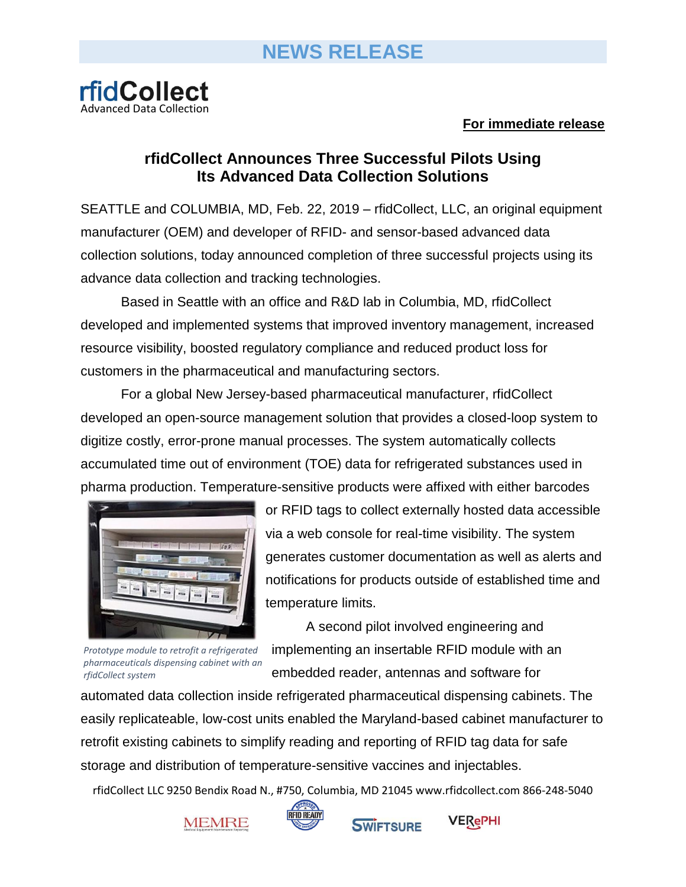

## **For immediate release**

## **rfidCollect Announces Three Successful Pilots Using Its Advanced Data Collection Solutions**

SEATTLE and COLUMBIA, MD, Feb. 22, 2019 – rfidCollect, LLC, an original equipment manufacturer (OEM) and developer of RFID- and sensor-based advanced data collection solutions, today announced completion of three successful projects using its advance data collection and tracking technologies.

Based in Seattle with an office and R&D lab in Columbia, MD, rfidCollect developed and implemented systems that improved inventory management, increased resource visibility, boosted regulatory compliance and reduced product loss for customers in the pharmaceutical and manufacturing sectors.

For a global New Jersey-based pharmaceutical manufacturer, rfidCollect developed an open-source management solution that provides a closed-loop system to digitize costly, error-prone manual processes. The system automatically collects accumulated time out of environment (TOE) data for refrigerated substances used in pharma production. Temperature-sensitive products were affixed with either barcodes



*Prototype module to retrofit a refrigerated pharmaceuticals dispensing cabinet with an rfidCollect system*

or RFID tags to collect externally hosted data accessible via a web console for real-time visibility. The system generates customer documentation as well as alerts and notifications for products outside of established time and temperature limits.

A second pilot involved engineering and implementing an insertable RFID module with an embedded reader, antennas and software for

automated data collection inside refrigerated pharmaceutical dispensing cabinets. The easily replicateable, low-cost units enabled the Maryland-based cabinet manufacturer to retrofit existing cabinets to simplify reading and reporting of RFID tag data for safe storage and distribution of temperature-sensitive vaccines and injectables.

rfidCollect LLC 9250 Bendix Road N., #750, Columbia, MD 21045 www.rfidcollect.com 866-248-5040





**SWIFTSURE**